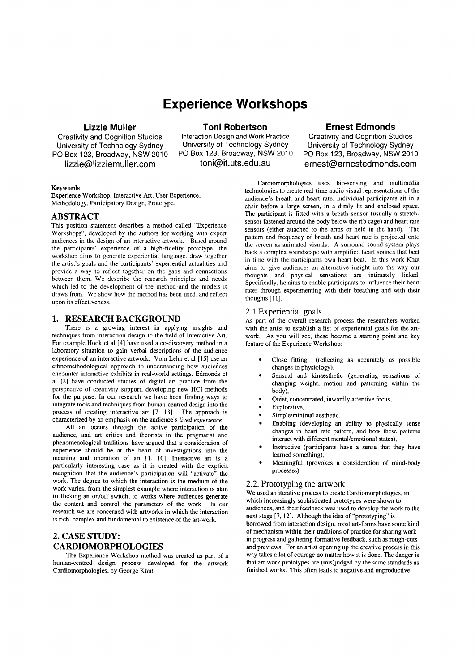# **Experience Workshops**

# **Lizzie Muller**

Creativity and Cognition Studios University of Technology Sydney PO Box 123, Broadway, NSW 2010 [lizzie@lizziemuller.com](mailto:lizzie@lizziemuller.com)

**Toni Robertson**

Interaction Design and Work Practice University of Technology Sydney PO Box 123, Broadway, NSW 2010 [toni@it.uts.edu.au](mailto:toni@it.uts.edu.au)

# **Ernest Edmonds**

Creativity and Cognition Studios University of Technology Sydney PO Box 123, Broadway, NSW 2010 [ernest@ernestedmonds.com](mailto:ernest@ernestedmonds.com)

#### Keywords

Experience Workshop, Interactive Art, User Experience, Methodology, Participatory Design, Prototype.

# ABSTRACT

This position statement describes a method called "Experience Workshops", developed by the authors for working with expert audiences in the design of an interactive artwork. Based around the participants' experience of a high-fidelity prototype, the workshop aims to generate experiential language. draw together the artist's goals and the participants' experiential actualities and provide a way to reflect together on the gaps and connections between them. We describe the research principles and needs which led to the development of the method and the models it draws from. We show how the method has been used, and reflect upon its effectiveness.

# 1. RESEARCH BACKGROUND

There is a growing interest in applying insights and techniques from interaction design to the field of Interactive Art. For example Hook et al [4] have used a co-discovery method in a laboratory situation to gain verbal descriptions of the audience experience of an interactive artwork. Yom Lehn et al [15] use an ethnomethodological approach to understanding how audiences encounter interactive exhibits in real-world settings. Edmonds et al [2] have conducted studies of digital art practice from the perspective of creativity support, developing new HCI methods for the purpose. In our research we have been finding ways to integrate tools and techniques from human-centred design into the process of creating interactive art [7, 13]. The approach is characterized by an emphasis on the audience's *lived experience.*

All art occurs through the active participation of the audience, and art critics and theorists in the pragmatist and phenomenological traditions have argued that a consideration of experience should be at the heart of investigations into the meaning and operation of art [1, 10]. Interactive art is a particularly interesting case as it is created with the explicit recognition that the audience's participation will "activate" the work. The degree to which the interaction is the medium of the work varies, from the simplest example where interaction is akin to flicking an on/off switch, to works where audiences generate the content and control the parameters of the work. In our research we are concerned with artworks in which the interaction is rich, complex and fundamental to existence of the art-work.

# 2. CASE STUDY: CARDIOMORPHOLOGIES

The Experience Workshop method was created as part of a human-centred design process developed for the artwork Cardiomorphologies, by George Khut.

Cardiomorphologies uses bio-sensing and multimedia technologies to create real-time audio visual representations of the audience's breath and heart rate. Individual participants sit in a chair before a large screen, in a dimly lit and enclosed space. The participant is fitted with a breath sensor (usually a stretchsensor fastened around the body below the rib cage) and heart rate sensors (either attached to the arms or held in the hand). The pattern and frequency of breath and heart rate is projected onto the screen as animated visuals. A surround sound system plays back a complex soundscape with amplified heart sounds that beat in time with the participants own heart beat. In this work Khut aims to give audiences an alternative insight into the way our thoughts and physical sensations are intimately linked. Specifically, he aims to enable participants to influence their heart rates through experimenting with their breathing and with their thoughts [11].

#### 2.1 Experiential goals

As part of the overall research process the researchers worked with the artist to establish a list of experiential goals for the artwork. As you will see, these became a starting point and key feature of the Experience Workshop:

- Close fitting (reflecting as accurately as possible changes in physiology),
- Sensual and kinaesthetic (generating sensations of changing weight, motion and patterning within the body),
- Quiet, concentrated, inwardly attentive focus,
- Explorative,
- Simple/minimal aesthetic,
- Enabling (developing an ability to physically sense changes in heart rate pattern, and how these patterns interact with different mental/emotional states),
- Instructive (participants have a sense that they have learned something),
- Meaningful (provokes a consideration of mind-body processes).

## 2.2. Prototyping the artwork

We used an iterative process to create Cardiomorphologies, in which increasingly sophisticated prototypes were shown to audiences, and their feedback was used to develop the work to the next stage [7, 12]. Although the idea of "prototyping" is borrowed from interaction design, most art-forms have some kind of mechanism within their traditions of practice for sharing work in progress and gathering formative feedback, such as rough-cuts and previews. For an artist opening up the creative process in this way takes a lot of courage no matter how it is done. The danger is that art-work prototypes are (mis)judged by the same standards as finished works. This often leads to negative and unproductive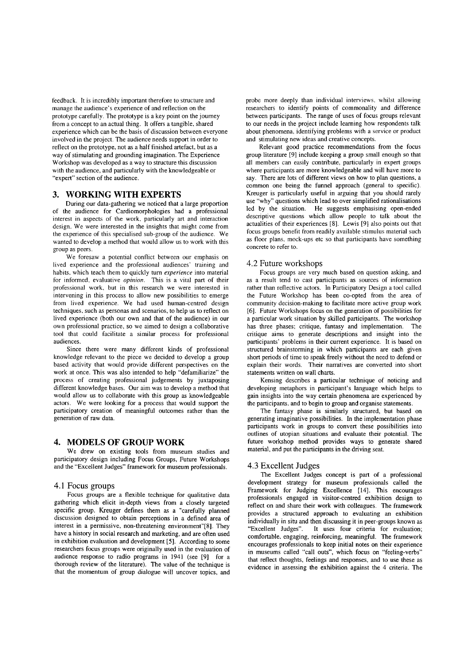feedback. It is incredibly important therefore to structure and manage the audience's experience of and reflection on the prototype carefully. The prototype is a key point on the journey from a concept to an actual thing. It offers a tangible, shared experience which can be the basis of discussion between everyone involved in the project. The audience needs support in order to reflect on the prototype, not as a half finished artefact, but as a way of stimulating and grounding imagination. The Experience Workshop was developed as a way to structure this discussion with the audience, and particularly with the knowledgeable or "expert" section of the audience.

# **3. WORKING WITH EXPERTS**

During our data-gathering we noticed that a large proportion of the audience for Cardiomorphologies had a professional interest in aspects of the work, particularly art and interaction design. We were interested in the insights that might come from the experience of this specialised sub-group of the audience. We wanted to develop a method that would allow us to work with this group as peers.

We foresaw a potential conflict between our emphasis on lived experience and the professional audiences' training and habits, which teach them to quickly turn *experience* into material for informed, evaluative *opinion.* This is a vital part of their professional work, but in this research we were interested in intervening in this process to allow new possibilities to emerge from lived experience. We had used human-centred design techniques, such as personas and scenarios, to help us to reflect on lived experience (both our own and that of the audience) in our own professional practice, so we aimed to design a collaborative tool that could facilitate a similar process for professional audiences.

Since there were many different kinds of professional knowledge relevant to the piece we decided to develop a group based activity that would provide different perspectives on the work at once. This was also intended to help "defarniliarize" the process of creating professional judgements by juxtaposing different knowledge bases. Our aim was to develop a method that would allow us to collaborate with this group as knowledgeable actors. We were looking for a process that would support the participatory creation of meaningful outcomes rather than the generation of raw data.

## **4. MODELS OF GROUP WORK**

We drew on existing tools from museum studies and participatory design including Focus Groups, Future Workshops and the "Excellent Judges" framework for museum professionals.

#### 4.1 Focus groups

Focus groups are a flexible technique for qualitative data gathering which elicit in-depth views from a closely targeted specific group. Kreuger defines them as a "carefully planned discussion designed to obtain perceptions in a defined area of interest in a permissive, non-threatening environment"[8]. They have a history in social research and marketing, and are often used in exhibition evaluation and development [5]. According to some researchers focus groups were originally used in the evaluation of audience response to radio programs in 1941 (see [9] for a thorough review of the literature). The value of the technique is that the momentum of group dialogue will uncover topics, and probe more deeply than individual interviews, whilst allowing researchers to identify points of commonality and difference between participants, The range of uses of focus groups relevant to our needs in the project include learning how respondents talk about phenomena, identifying problems with a service or product and stimulating new ideas and creative concepts.

Relevant good practice recommendations from the focus group literature [9] include keeping a group small enough so that all members can easily contribute, particularly in expert groups where participants are more knowledgeable and will have more to say, There are lots of different views on how to plan questions, a common one being the funnel approach (general to specific), Kreuger is particularly useful in arguing that you should rarely use "why" questions which lead to over simplified rationalisations led by the situation. He suggests emphasising open-ended descriptive questions which allow people to talk about the actualities of their experiences [8], Lewis [9) also points out that focus groups benefit from readily available stimulus material such as floor plans. mock-ups etc so that participants have something concrete to refer to.

#### 4.2 Future workshops

Focus groups are very much based on question asking. and as a result tend to cast participants as sources of information rather than reflective actors, In Participatory Design a tool called the Future Workshop has been co-opted from the area of community decision-making to facilitate more active group work [6), Future Workshops focus on the generation of possibilities for a particular work situation by skilled participants, The workshop has three phases; critique, fantasy and implementation. The critique aims to generate descriptions and insight into the participants' problems in their current experience. It is based on structured brainstorming in which participants are each given short periods of time to speak freely without the need to defend or explain their words, Their narratives are converted into short statements written on wall charts,

Kensing describes a particular technique of noticing and developing metaphors in participant's language which helps to gain insights into the way certain phenomena are experienced by the participants, and to begin to group and organise statements,

The fantasy phase is similarly structured, but based on generating imaginative possibilities, In the implementation phase participants work in groups to convert these possibilities into outlines of utopian situations and evaluate their potential. The future workshop method provides ways to generate shared material, and put the participants in the driving seat.

#### 4.3 Excellent Judges

The Excellent Judges concept is part of a professional development strategy for museum professionals called the Framework for Judging Excellence [14]. This encourages professionals engaged in visitor-centred exhibition design to reflect on and share their work with colleagues. The framework provides a structured approach to evaluating an exhibition individually in situ and then discussing it in peer-groups known as "Excellent Judges". It uses four criteria for evaluation; comfortable. engaging, reinforcing, meaningful. The framework encourages professionals to keep initial notes on their experience in museums called "call outs", which focus on "feeling-verbs" that reflect thoughts, feelings and responses, and to use these as evidence in assessing the exhibition against the 4 criteria. The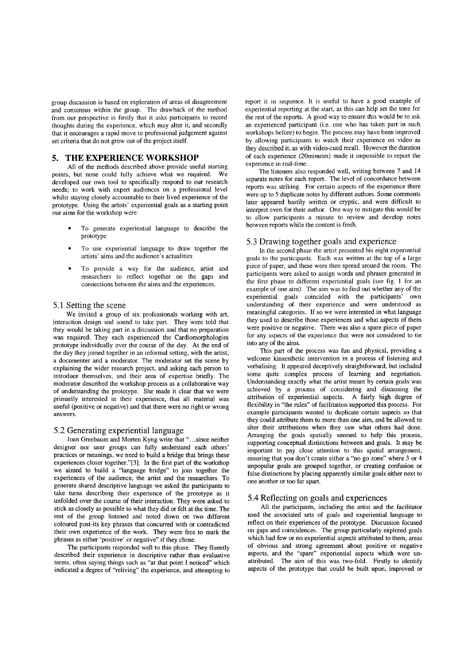group discussion is based on exploration of areas of disagreement and consensus within the group. The drawback of the method from our perspective is firstly that it asks participants to record thoughts during the experience, which may alter it, and secondly that it encourages a rapid move to professional judgement against set criteria that do not grow out of the project itself.

# **5. THE EXPERIENCE WORKSHOP**

All of the methods described above provide useful starting points, but none could fully achieve what we required. We developed our own tool to specifically respond to our research needs; to work with expert audiences on a professional level whilst staying closely accountable to their lived experience of the prototype. Using the artists' experiential goals as a starting point our aims for the workshop were:

- To generate experiential language to describe the prototype
- To use experiential language to draw together the artists' aims and the audience's actualities
- To provide a way for the audience, artist and researchers to reflect together on the gaps and connections between the aims and the experiences.

#### 5.1 Setting the scene

We invited a group of six professionals working with art, interaction design and sound to take part. They were told that they would be taking part in a discussion and that no preparation was required. They each experienced the Cardiomorphologies prototype individually over the course of the day. At the end of the day they joined together in an informal setting, with the artist, a documenter and a moderator. The moderator set the scene by explaining the wider research project, and asking each person to introduce themselves, and their area of expertise briefly. The moderator described the workshop process as a collaborative way of understanding the prototype. She made it clear that we were primarily interested in their experience, that all material was useful (positive or negative) and that there were no right or wrong answers.

#### 5.2 Generating experiential language

Joan Greebaum and Morten Kyng write that "...since neither designer nor user groups can fully understand each others' practices or meanings, we need to build a bridge that brings these experiences closer together."[3]. In the first part of the workshop we aimed to build a "language bridge" to join together the experiences of the audience, the artist and the researchers. To generate shared descriptive language we asked the participants to take turns describing their experience of the prototype as it unfolded over the course of their interaction. They were asked to stick as closely as possible to what they did or felt at the time. The rest of the group listened and noted down on two different coloured post-its key phrases that concurred with or contradicted their own experience of the work. They were free to mark the phrases as either 'positive' or negative" if they chose.

The participants responded well to this phase. They fluently described their experience in descriptive rather than evaluative terms, often saying things such as "at that point I noticed" which indicated a degree of "reliving" the experience, and attempting to report it in sequence. It is useful to have a good example of experiential reporting at the start, as this can help set the tone for the rest of the reports. A good way to ensure this would be to ask an experienced participant (i.e. one who has taken part in such workshops before) to begin. The process may have been improved by allowing participants to watch their experience on video as they described it, as with video-cued recall. However the duration of each experience (20minutes) made it impossible to report the experience in real-time.

The listeners also responded well, writing between 7 and 14 separate notes for each report. The level of concordance between reports was striking. For certain aspects of the experience there were up to 5 duplicate notes by different authors. Some comments later appeared hastily written or cryptic, and were difficult to interpret even for their author. One way to mitigate this would be to allow participants a minute to review and develop notes between reports while the content is fresh.

#### 5.3 Drawing together goals and experience

In the second phase the artist presented his eight experiential goals to the participants. Each was written at the top of a large piece of paper, and these were then spread around the room. The participants were asked to assign words and phrases generated in the first phase to different experiential goals (see fig. I for an example of one aim). The aim was to find out whether any of the experiential goals coincided with the participants' own understanding of their experience and were understood as meaningful categories. If so we were interested in what language they used to describe those experiences and what aspects of them were positive or negative. There was also a spare piece of paper for any aspects of the experience that were not considered to tie into any of the aims.

This part of the process was fun and physical, providing a welcome kinaesthetic intervention in a process of listening and verbalising. It appeared deceptively straightforward, but included some quite complex process of learning and negotiation. Understanding exactly what the artist meant by certain goals was achieved by a process of considering and discussing the attribution of experiential aspects. A fairly high degree of flexibility in "the rules" of facilitation supported this process. For example participants wanted to duplicate certain aspects so that they could attribute them to more than one aim, and be allowed to alter their attributions when they saw what others had done. Arranging the goals spatially seemed to help this process, supporting conceptual distinctions between and goals. It may be important to pay close attention to this spatial arrangement, ensuring that you don't create either a "no go zone" where 3 or 4 unpopular goals are grouped together, or creating confusion or false distinctions by placing apparently similar goals either next to one another or too far apart.

## 5.4 Reflecting on goals and experiences

All the participants, including the artist and the facilitator used the associated sets of goals and experiential language to reflect on their experiences of the prototype. Discussion focused on gaps and coincidences. The group particularly explored goals which had few or no experiential aspects attributed to them, areas of obvious and strong agreement about positive or negative aspects, and the "spare" experiential aspects which were unattributed. The aim of this was two-fold. Firstly to identify aspects of the prototype that could be built upon, improved or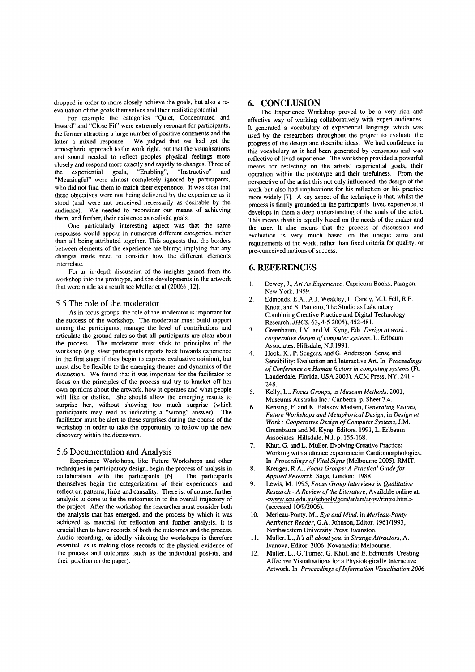dropped in order to more closely achieve the goals, but also a reevaluation of the goals themselves and their realistic potential.

For example the categories "Quiet, Concentrated and Inward" and "Close Fit" were extremely resonant for participants, the former attracting a large number of positive comments and the latter a mixed response. We judged that we had got the atmospheric approach to the work right, but that the visualisations and sound needed to reflect peoples physical feelings more closely and respond more exactly and rapidly to changes. Three of the experiential goals, "Enabling", "Instructive" and "Meaningful" were almost completely ignored by participants, who did not find them to match their experience. It was clear that these objectives were not being delivered by the experience as it stood (and were not perceived necessarily as desirable by the audience). We needed to reconsider our means of achieving them, and further, their existence as realistic goals.

One particularly interesting aspect was that the same responses would appear in numerous different categories, rather than all being attributed together. This suggests that the borders between elements of the experience are blurry; implying that any changes made need to consider how the different elements interrelate.

For an in-depth discussion of the insights gained from the workshop into the prototype, and the developments in the artwork that were made as a result see Muller et al (2006) [12].

#### 5.5 The role of the moderator

As in focus groups, the role of the moderator is important for the success of the workshop. The moderator must build rapport among the participants, manage the level of contributions and articulate the ground rules so that all participants are clear about the process. The moderator must stick to principles of the workshop (e.g. steer participants reports back towards experience in the first stage if they begin to express evaluative opinion), but must also be flexible to the emerging themes and dynamics of the discussion. We found that it was important for the facilitator to focus on the principles of the process and try to bracket off her own opinions about the artwork, how it operates and what people will like or dislike. She should allow the emerging results to surprise her, without showing too much surprise (which participants may read as indicating a "wrong" answer). The facilitator must be alert to these surprises during the course of the workshop in order to take the opportunity to follow up the new discovery within the discussion.

#### 5.6 Documentation and Analysis

Experience Workshops, like Future Workshops and other techniques in participatory design, begin the process of analysis in collaboration with the participants [6]. The participants collaboration with the participants [6]. themselves begin the categorization of their experiences, and reflect on patterns, links and causality. There is, of course, further analysis to done to tie the outcomes in to the overall trajectory of the project. After the workshop the researcher must consider both the analysis that has emerged, and the process by which it was achieved as material for reflection and further analysis. It is crucial then to have records of both the outcomes and the process. Audio recording, or ideally videoing the workshops is therefore essential, as is making close records of the physical evidence of the process and outcomes (such as the individual post-its, and their position on the paper).

# **6. CONCLUSION**

The Experience Workshop proved to be a very rich and effective way of working collaboratively with expert audiences. It generated a vocabulary of experiential language which was used by the researchers throughout the project to evaluate the progress of the design and describe ideas. We had confidence in this vocabulary as it had been generated by consensus and was reflective of lived experience. The workshop provided a powerful means for reflecting on the artists' experiential goals, their operation within the prototype and their usefulness. From the perspective of the artist this not only influenced the design of the work but also had implications for his reflection on his practice more widely [7]. A key aspect of the technique is that, whilst the process is firmly grounded in the participants' lived experience, it develops in them a deep understanding of the goals of the artist. This means thatit is equally based on the needs of the maker and the user. It also means that the process of discussion and evaluation is very much based on the unique aims and requirements of the work, rather than fixed criteria for quality, or pre-conceived notions of success.

# **6. REFERENCES**

- I. Dewey, J., *An As Experience.* Capricorn Books; Paragon, New York, 1959.
- 2. Edmonds, E.A., AJ. Weakley, L. Candy, MJ. Fell, R.P. Knott, and S. Pauletto, The Studio as Laboratory: Combining Creative Practice and Digital Technology Research. *JHCS*, 63, 4-5 2005), 452-481.
- 3. Greenbaum, J.M. and M. Kyng, Eds. *Design at work: cooperative design of computer systems.* L. Erlbaum Associates: Hillsdale, NJ,1991.
- 4. Hook, K., P. Sengers, and G. Andersson. Sense and Sensibility: Evaluation and Interactive Art. In *Proceedings of Conference on Humanfactors in computing systems* (Ft. Lauderdale, Florida, USA 2003). ACM Press, NY, 241 -248.
- 5. Kelly, L., *Focus Groups,* in *Museum Methods. 2001,* Museums Australia Inc.: Canberra. p. Sheet 7.4.
- 6. Kensing, F. and K. Halskov Madsen, *Generating Visions, Future Workshops and Metaphorical Design,* in *Design at Work: Cooperative Design of Computer Systems,* J.M. Greenbaum and M. Kyng, Editors. 1991, L. Erlbaum Associates: Hillsdale, NJ. p. 155-168.
- 7. Khut, G. and L. Muller. Evolving Creative Practice: Working with audience experience in Cardiomorphologies. In *Proceedings of Vital Signs* (Melbourne 2005). RMIT,
- 8. Kreuger, R.A., *Focus Groups: A Practical Guide for Applied Research.* Sage, London:, 1988.
- 9. Lewis, M. 1995, *Focus Group Interviews in Qualitative Research - A Review of the Literature,* Available online at: <www.scu.edu.au/schools/gcm/ar/arr/arow/rintro.html> (accessed 10/9/2006).
- 10. Merleau-Ponty, M., *Eye and Mind,* in *Merleau-Ponty Aesthetics Reader,* G.A. Johnson, Editor. 1961/1993, Northwestern University Press: Evanston.
- II. Muller, L., *It's all about you,* in *Strange Attractors,* A. Ivanova, Editor. 2006, Novamedia: Melbourne.
- 12. Muller, L., G. Turner, G. Khut, and E. Edmonds. Creating Affective Visualisations for a Physiologically Interactive Artwork. In *Proceedings of Information Visualisation 2006*